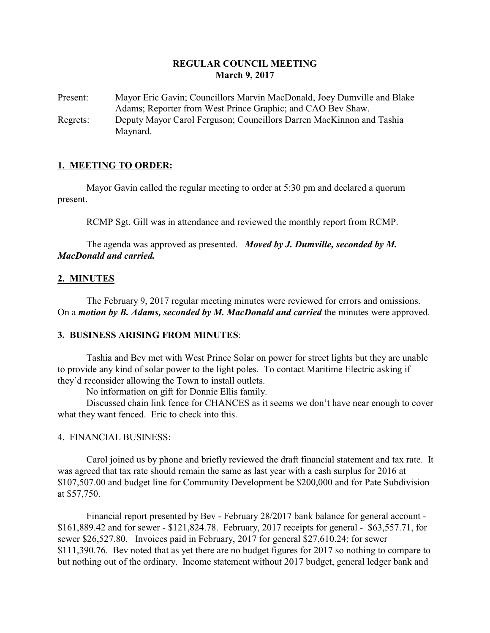# **REGULAR COUNCIL MEETING March 9, 2017**

Present: Mayor Eric Gavin; Councillors Marvin MacDonald, Joey Dumville and Blake Adams; Reporter from West Prince Graphic; and CAO Bev Shaw. Regrets: Deputy Mayor Carol Ferguson; Councillors Darren MacKinnon and Tashia Maynard.

## **1. MEETING TO ORDER:**

Mayor Gavin called the regular meeting to order at 5:30 pm and declared a quorum present.

RCMP Sgt. Gill was in attendance and reviewed the monthly report from RCMP.

The agenda was approved as presented. *Moved by J. Dumville, seconded by M. MacDonald and carried.*

### **2. MINUTES**

The February 9, 2017 regular meeting minutes were reviewed for errors and omissions. On a *motion by B. Adams, seconded by M. MacDonald and carried* the minutes were approved.

### **3. BUSINESS ARISING FROM MINUTES**:

Tashia and Bev met with West Prince Solar on power for street lights but they are unable to provide any kind of solar power to the light poles. To contact Maritime Electric asking if they'd reconsider allowing the Town to install outlets.

No information on gift for Donnie Ellis family.

Discussed chain link fence for CHANCES as it seems we don't have near enough to cover what they want fenced. Eric to check into this.

### 4. FINANCIAL BUSINESS:

Carol joined us by phone and briefly reviewed the draft financial statement and tax rate. It was agreed that tax rate should remain the same as last year with a cash surplus for 2016 at \$107,507.00 and budget line for Community Development be \$200,000 and for Pate Subdivision at \$57,750.

Financial report presented by Bev - February 28/2017 bank balance for general account - \$161,889.42 and for sewer - \$121,824.78. February, 2017 receipts for general - \$63,557.71, for sewer \$26,527.80. Invoices paid in February, 2017 for general \$27,610.24; for sewer \$111,390.76. Bev noted that as yet there are no budget figures for 2017 so nothing to compare to but nothing out of the ordinary. Income statement without 2017 budget, general ledger bank and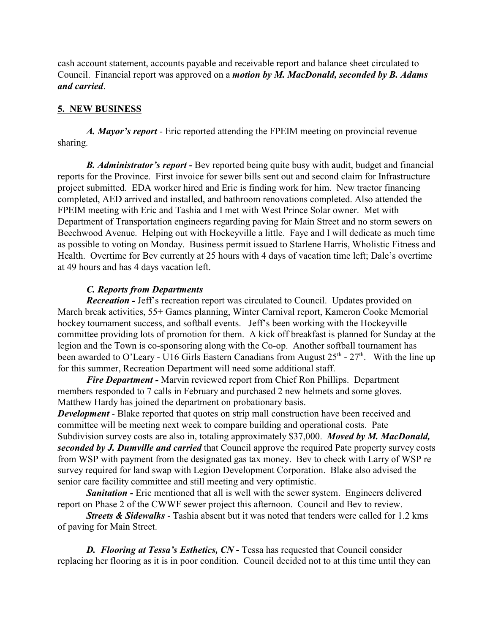cash account statement, accounts payable and receivable report and balance sheet circulated to Council. Financial report was approved on a *motion by M. MacDonald, seconded by B. Adams and carried*.

## **5. NEW BUSINESS**

*A. Mayor's report* - Eric reported attending the FPEIM meeting on provincial revenue sharing.

*B. Administrator's report -* Bev reported being quite busy with audit, budget and financial reports for the Province. First invoice for sewer bills sent out and second claim for Infrastructure project submitted. EDA worker hired and Eric is finding work for him. New tractor financing completed, AED arrived and installed, and bathroom renovations completed. Also attended the FPEIM meeting with Eric and Tashia and I met with West Prince Solar owner. Met with Department of Transportation engineers regarding paving for Main Street and no storm sewers on Beechwood Avenue. Helping out with Hockeyville a little. Faye and I will dedicate as much time as possible to voting on Monday. Business permit issued to Starlene Harris, Wholistic Fitness and Health. Overtime for Bev currently at 25 hours with 4 days of vacation time left; Dale's overtime at 49 hours and has 4 days vacation left.

## *C. Reports from Departments*

*Recreation -* Jeff's recreation report was circulated to Council. Updates provided on March break activities, 55+ Games planning, Winter Carnival report, Kameron Cooke Memorial hockey tournament success, and softball events. Jeff's been working with the Hockeyville committee providing lots of promotion for them. A kick off breakfast is planned for Sunday at the legion and the Town is co-sponsoring along with the Co-op. Another softball tournament has been awarded to O'Leary - U16 Girls Eastern Canadians from August  $25<sup>th</sup>$  -  $27<sup>th</sup>$ . With the line up for this summer, Recreation Department will need some additional staff.

*Fire Department -* Marvin reviewed report from Chief Ron Phillips. Department members responded to 7 calls in February and purchased 2 new helmets and some gloves. Matthew Hardy has joined the department on probationary basis.

*Development* - Blake reported that quotes on strip mall construction have been received and committee will be meeting next week to compare building and operational costs. Pate Subdivision survey costs are also in, totaling approximately \$37,000. *Moved by M. MacDonald, seconded by J. Dumville and carried* that Council approve the required Pate property survey costs from WSP with payment from the designated gas tax money. Bev to check with Larry of WSP re survey required for land swap with Legion Development Corporation. Blake also advised the senior care facility committee and still meeting and very optimistic.

*Sanitation -* Eric mentioned that all is well with the sewer system. Engineers delivered report on Phase 2 of the CWWF sewer project this afternoon. Council and Bev to review.

*Streets & Sidewalks* - Tashia absent but it was noted that tenders were called for 1.2 kms of paving for Main Street.

**D.** Flooring at Tessa's Esthetics, CN - Tessa has requested that Council consider replacing her flooring as it is in poor condition. Council decided not to at this time until they can